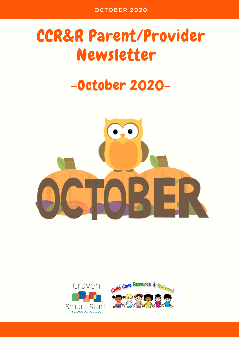# CCR&R Parent/Provider Newsletter

# -October 2020-



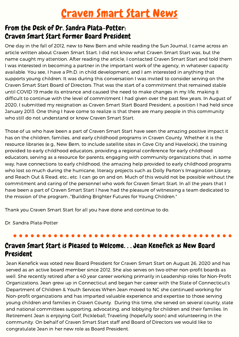# Craven Smart Start News

### From the Desk of Dr. Sandra Plata-Potter: Craven Smart Start Former Board President

One day in the fall of 2012, new to New Bern and while reading the Sun Journal, I came across an article written about Craven Smart Start. I did not know what Craven Smart Start was, but the name caught my attention. After reading the article, I contacted Craven Smart Start and told them I was interested in becoming a partner in the important work of the agency, in whatever capacity available. You see, I have a Ph.D. in child development, and I am interested in anything that supports young children. It was during this conversation I was invited to consider serving on the Craven Smart Start Board of Directors. That was the start of a commitment that remained stable until COVID 19 made its entrance and caused the need to make changes in my life, making it difficult to continue with the level of commitment I had given over the past few years. In August of 2020, I submitted my resignation as Craven Smart Start Board President, a position I had held since January 2013. One thing I have come to realize is that there are many people in this community who still do not understand or know Craven Smart Start.

Those of us who have been a part of Craven Smart Start have seen the amazing positive impact it has on the children, families, and early childhood programs in Craven County. Whether it is the resource libraries (e.g., New Bern, to include satellite sites in Cove City and Havelock), the training provided to early childhood educators, providing a regional conference forearly childhood educators, serving as a resource for parents, engaging with community organizations that, in some way, have connections to early childhood, the amazing help provided to early childhood programs who lost so much during the hurricane, literacy projects such as Dolly Parton's Imagination Library, and Reach Out & Read, etc.; etc. I can go on and on. Much of this would not be possible without the commitment and caring of the personnel who work for Craven Smart Start. In all the years that I have been a part of Craven Smart Start I have had the pleasure of witnessing a team dedicated to the mission of the program…"Building Brighter Futures for Young Children."

Thank you Craven Smart Start for all you have done and continue to do.

Dr. Sandra Plata-Potter

### Craven Smart Start is Pleased to Welcome. . . Jean Kenefick as New Board President

Jean Kenefick was voted new Board President for Craven Smart Start on August 26, 2020 and has served as an active board member since 2012. She also serves on two other non-profit boards as well. She recently retired after a 40 year career working primarily in Leadership roles for Non-Profit Organizations. Jean grew up in Connecticut and began her career with the State of Connecticut's Department of Children & Youth Services When Jean moved to NC she continued working for Non-profit organizations and has imparted valuable experience and expertise to those serving young children and families in Craven County. During this time, she served on several county, state and national committees supporting, advocating, and lobbying for children and their families. In Retirement Jean is enjoying Golf, Pickleball, Traveling (hopefully soon) and volunteering in the community. On behalf of Craven Smart Start staff and Board of Directors we would like to congratulate Jean in her new role as Board President.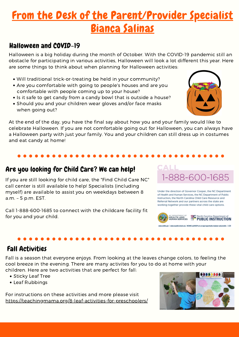### From the Desk of the Parent/Provider Specialist Bianca Salinas CCR&R PARENT/PR O VIDER NEWSLETTER O CT O BER 2020

### Halloween and COVID-19

Halloween is a big holiday during the month of October. With the COVID-19 pandemic still an obstacle for participating in various activities, Halloween will look a lot different this year. Here are some things to think about when planning for Halloween activities:

- Will traditional trick-or-treating be held in your community?
- Are you comfortable with going to people's houses and are you comfortable with people coming up to your house?
- Is it safe to get candy from a candy bowl that is outside a house?
- Should you and your children wear gloves and/or face masks when going out?

At the end of the day, you have the final say about how you and your family would like to celebrate Halloween. If you are not comfortable going out for Halloween, you can always have a Halloween party with just your family. You and your children can still dress up in costumes and eat candy at home!

If you are still looking for child care, the "Find Child Care NC" call center is still available to help! Specialists (including myself) are available to assist you on weekdays between 8<br>of Health and Human Services, the NC Department of Public a.m. – 5 p.m. EST.

Call 1-888-600-1685 to connect with the childcare facility fit for you and your child.

### Are you looking for Child Care? We can help!

Instruction, the North Carolina Child Care Resource and Referral Network and our partners across the state are working together provide these vital child care options.

1-888-600-1685

ALL:



### Fall Activities

Fall is a season that everyone enjoys. From looking at the leaves change colors, to feeling the cool breeze in the evening. There are many activites for you to do at home with your children. Here are two activities that are perfect for fall:

- Sticky Leaf Tree
- Leaf Rubbings

For instructions on these activities and more please visit <https://teachingmama.org/8-leaf-activities-for-preschoolers/>



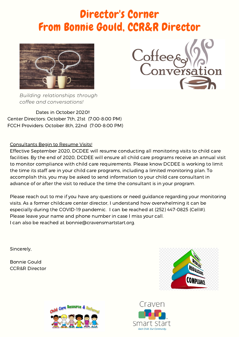# Director's Corner From Bonnie Gould, CCR&R Director





*Building relationships through coffee and conversations!*

Dates in October 2020!! Center Directors: October 7th, 21st (7:00-8:00 PM) FCCH Providers: October 8th, 22nd (7:00-8:00 PM)

Consultants Begin to Resume Visits!

Effective September 2020, DCDEE will resume conducting all monitoring visits to child care facilities. By the end of 2020, DCDEE will ensure all child care programs receive an annual visit to monitor compliance with child care requirements. Please know DCDEE is working to limit the time its staff are in your child care programs, including a limited monitoring plan. To accomplish this, you may be asked to send information to your child care consultant in advance of or after the visit to reduce the time the consultant is in your program.

Please reach out to me if you have any questions or need guidance regarding your monitoring visits. As a former childcare center director, I understand how overwhelming it can be especially during the COVID-19 pandemic. I can be reached at (252) 447-0825 (Cell#). Please leave your name and phone number in case I miss your call. I can also be reached at bonnie@cravensmartstart.org.

Sincerely,

Bonnie Gould CCR&R Director





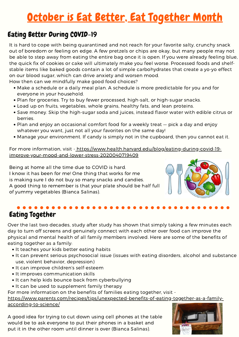# October is Eat Better, Eat Together Month

### Eating Better During COVID-19

It is hard to cope with being quarantined and not reach for your favorite salty, crunchy snack out of boredom or feeling on edge. A few pretzels or chips are okay, but many people may not be able to step away from eating the entire bag once it is open. If you were already feeling blue, the quick fix of cookies or cake will ultimately make you feel worse. Processed foods and shelf stable items like baked goods contain a lot of simple carbohydrates that create a yo-yo effect on our blood sugar, which can drive anxiety and worsen mood.<br>How then can we mindfully make good food choices?

- Make a schedule or a daily meal plan. A schedule is more predictable for you and for everyone in your household.
- Plan for groceries. Try to buy fewer processed, high-salt, or high-sugar snacks.
- Load up on fruits, vegetables, whole grains, healthy fats, and lean proteins.
- Save money. Skip the high-sugar soda and juices, instead flavor water with edible citrus or berries.
- Plan and enjoy an occasional comfort food for a weekly treat pick a day and enjoy whatever you want, just not all your favorites on the same day!
- Manage your environment. If candy is simply not in the cupboard, then you cannot eat it.

For more information, visit - [https://www.health.harvard.edu/blog/eating-during-covid-19](https://www.health.harvard.edu/blog/eating-during-covid-19-improve-your-mood-and-lower-stress-2020040719409) improve-your-mood-and-lower-stress-2020040719409

Being at home all the time due to COVID is hard. I know it has been for me! One thing that works for me is making sure I do not buy so many snacks and candies. A good thing to remember is that your plate should be half full of yummy vegetables (Bianca Salinas).



# Eating Together

Over the last two decades, study after study has shown that simply taking a few minutes each day to turn off screens and genuinely connect with each other over food can improve the physical and mental health of all family members involved. Here are some of the benefits of eating together as a family:

- It teaches your kids better eating habits
- It can prevent serious psychosocial issue (issues with eating disorders, alcohol and substance use, violent behavior, depression)
- It can improve children's self-esteem
- It improves communication skills
- It can help kids bounce back from cyberbullying
- It can be used to supplement family therapy

For more information on the benefits of families eating together, visit -

[https://www.parents.com/recipes/tips/unexpected-benefits-of-eating-together-as-a-family](https://www.parents.com/recipes/tips/unexpected-benefits-of-eating-together-as-a-family-according-to-science/) according-to-science/

A good idea for trying to cut down using cell phones at the table would be to ask everyone to put their phones in a basket and put it in the other room until dinner is over (Bianca Salinas).

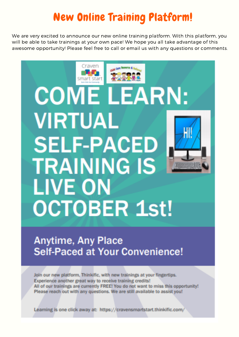# New Online Training Platform!

We are very excited to announce our new online training platform. With this platform, you will be able to take trainings at your own pace! We hope you all take advantage of this awesome opportunity! Please feel free to call or email us with any questions or comments.

# Craver Smart Start **COME LEARN: VIRTUAL SELF-PACED TRAINING IS LIVE ON OCTOBER 1st!**

## **Anytime, Any Place Self-Paced at Your Convenience!**

Join our new platform, Thinkific, with new trainings at your fingertips. Experience another great way to receive training credits! All of our trainings are currently FREE! You do not want to miss this opportunity! Please reach out with any questions. We are still available to assist you!

Learning is one click away at: https://cravensmartstart.thinkific.com/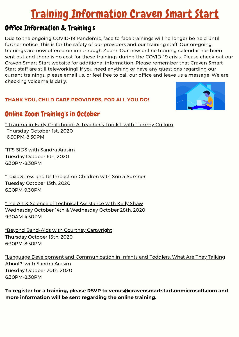# Training Information Craven Smart Start

### Office Information & Training's

Due to the ongoing COVID-19 Pandemic, face to face trainings will no longer be held until further notice. This is for the safety of our providers and our training staff. Our on-going trainings are now offered online through Zoom. Our new online training calendar has been sent out and there is no cost for these trainings during the COVID-19 crisis. Please check out our Craven Smart Start website for additional information. Please remember that Craven Smart Start staff are still teleworking!! If you need anything or have any questions regarding our current trainings, please email us, or feel free to call our office and leave us a message. We are checking voicemails daily.

### **THANK YOU, CHILD CARE PROVIDERS, FOR ALL YOU DO!**



### Online Zoom Training's in October

\* Trauma in Early Childhood: A Teacher's Toolkit with Tammy Cullom Thursday October 1st, 2020 6:30PM-8:30PM

\*IT'S SIDS with Sandra Arasim Tuesday October 6th, 2020

6:30PM-8:30PM

\*Toxic Stress and Its Impact on Children with Sonia Sumner Tuesday October 13th, 2020 6:30PM-9:30PM

\*The Art & Science of Technical Assistance with Kelly Shaw Wednesday October 14th & Wednesday October 28th, 2020 9:30AM-4:30PM

\*Beyond Band-Aids with Courtney Cartwright Thursday October 15th, 2020 6:30PM-8:30PM

\*Language Development and Communication in Infants and Toddlers: What Are They Talking About? with Sandra Arasim Tuesday October 20th, 2020 6:30PM-8:30PM

**To register for a training, please RSVP to venus@cravensmartstart.onmicrosoft.com and more information will be sent regarding the online training.**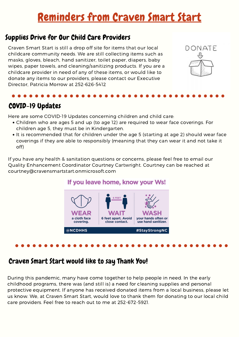# Reminders from Craven Smart Start

### Supplies Drive for Our Child Care Providers

Craven Smart Start is still a drop off site for items that our local childcare community needs. We are still collecting items such as masks, gloves, bleach, hand sanitizer, toilet paper, diapers, baby wipes, paper towels, and cleaning/sanitizing products. If you are a childcare provider in need of any of these items, or would like to donate any items to our providers, please contact our Executive Director, Patricia Morrow at 252-626-5412



### COVID-19 Updates

Here are some COVID-19 Updates concerning children and child care:

- Children who are ages 5 and up (to age 12) are required to wear face coverings. For children age 5, they must be in Kindergarten.
- It is recommended that for children under the age 5 (starting at age 2) should wear face coverings if they are able to responsibly (meaning that they can wear it and nottake it off)

If you have any health & sanitation questions or concerns, please feel free to email our Quality Enhancement Coordinator Courtney Cartwright. Courtney can be reached at courtney@cravensmartstart.onmicrosoft.com

### If you leave home, know your Ws!



### Craven Smart Start would like to say Thank You!

During this pandemic, many have come together to help people in need. In the early childhood programs, there was (and still is) a need for cleaning supplies and personal protective equipment. If anyone has received donated items from a local business, please let us know. We, at Craven Smart Start, would love to thank them for donating to our local child care providers. Feel free to reach out to me at 252-672-5921.